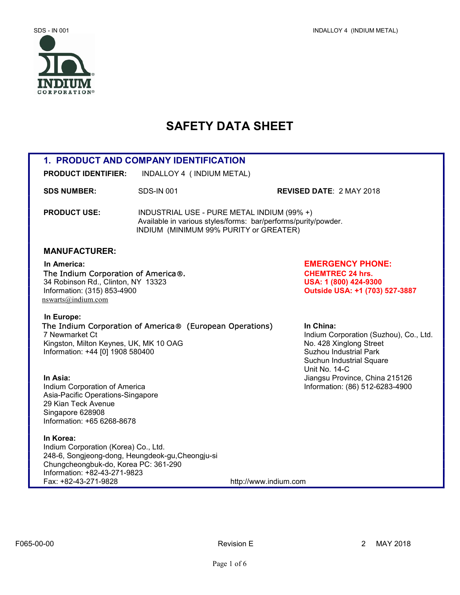

# SAFETY DATA SHEET

| <b>1. PRODUCT AND COMPANY IDENTIFICATION</b>                                                                                                                                                          |                                                                                                                                                        |                                                                                                                                             |  |  |
|-------------------------------------------------------------------------------------------------------------------------------------------------------------------------------------------------------|--------------------------------------------------------------------------------------------------------------------------------------------------------|---------------------------------------------------------------------------------------------------------------------------------------------|--|--|
| <b>PRODUCT IDENTIFIER:</b>                                                                                                                                                                            | INDALLOY 4 (INDIUM METAL)                                                                                                                              |                                                                                                                                             |  |  |
| <b>SDS NUMBER:</b>                                                                                                                                                                                    | <b>SDS-IN 001</b>                                                                                                                                      | <b>REVISED DATE: 2 MAY 2018</b>                                                                                                             |  |  |
| <b>PRODUCT USE:</b>                                                                                                                                                                                   | INDUSTRIAL USE - PURE METAL INDIUM (99% +)<br>Available in various styles/forms: bar/performs/purity/powder.<br>INDIUM (MINIMUM 99% PURITY or GREATER) |                                                                                                                                             |  |  |
| <b>MANUFACTURER:</b>                                                                                                                                                                                  |                                                                                                                                                        |                                                                                                                                             |  |  |
| In America:<br>The Indium Corporation of America®.<br>34 Robinson Rd., Clinton, NY 13323<br>Information: (315) 853-4900<br>nswarts@indium.com                                                         |                                                                                                                                                        | <b>EMERGENCY PHONE:</b><br><b>CHEMTREC 24 hrs.</b><br>USA: 1 (800) 424-9300<br>Outside USA: +1 (703) 527-3887                               |  |  |
| In Europe:<br>7 Newmarket Ct<br>Kingston, Milton Keynes, UK, MK 10 OAG<br>Information: +44 [0] 1908 580400                                                                                            | The Indium Corporation of America® (European Operations)                                                                                               | In China:<br>Indium Corporation (Suzhou), Co., Ltd.<br>No. 428 Xinglong Street<br><b>Suzhou Industrial Park</b><br>Suchun Industrial Square |  |  |
| In Asia:<br>Indium Corporation of America<br>Asia-Pacific Operations-Singapore<br>29 Kian Teck Avenue<br>Singapore 628908<br>Information: +65 6268-8678                                               |                                                                                                                                                        | Unit No. 14-C<br>Jiangsu Province, China 215126<br>Information: (86) 512-6283-4900                                                          |  |  |
| In Korea:<br>Indium Corporation (Korea) Co., Ltd.<br>248-6, Songjeong-dong, Heungdeok-gu, Cheongju-si<br>Chungcheongbuk-do, Korea PC: 361-290<br>Information: +82-43-271-9823<br>Fax: +82-43-271-9828 |                                                                                                                                                        | http://www.indium.com                                                                                                                       |  |  |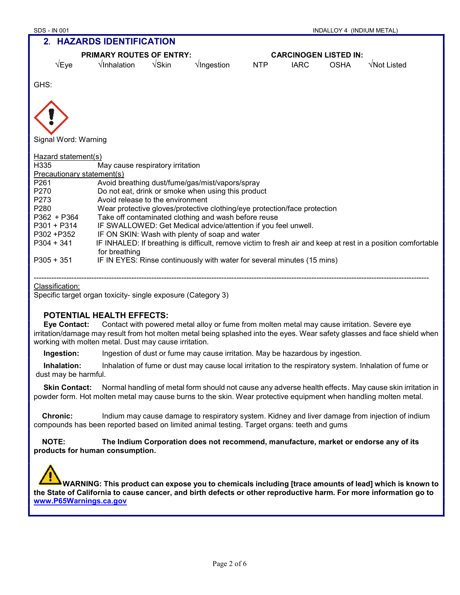| <b>SDS - IN 001</b><br>INDALLOY 4 (INDIUM METAL)                                        |                                                                                                                               |                        |                                                    |                              |             |             |             |
|-----------------------------------------------------------------------------------------|-------------------------------------------------------------------------------------------------------------------------------|------------------------|----------------------------------------------------|------------------------------|-------------|-------------|-------------|
|                                                                                         | 2. HAZARDS IDENTIFICATION                                                                                                     |                        |                                                    |                              |             |             |             |
|                                                                                         | <b>PRIMARY ROUTES OF ENTRY:</b>                                                                                               |                        |                                                    | <b>CARCINOGEN LISTED IN:</b> |             |             |             |
| $\sqrt{E}$ ye                                                                           | $\sqrt{}$ Inhalation                                                                                                          | $\sqrt{\mathsf{Skin}}$ | $\sqrt{$ lngestion                                 | <b>NTP</b>                   | <b>IARC</b> | <b>OSHA</b> | √Not Listed |
| GHS:                                                                                    |                                                                                                                               |                        |                                                    |                              |             |             |             |
|                                                                                         |                                                                                                                               |                        |                                                    |                              |             |             |             |
|                                                                                         |                                                                                                                               |                        |                                                    |                              |             |             |             |
| Signal Word: Warning                                                                    |                                                                                                                               |                        |                                                    |                              |             |             |             |
| Hazard statement(s)                                                                     |                                                                                                                               |                        |                                                    |                              |             |             |             |
| H335                                                                                    | May cause respiratory irritation                                                                                              |                        |                                                    |                              |             |             |             |
| Precautionary statement(s)                                                              |                                                                                                                               |                        |                                                    |                              |             |             |             |
| P261                                                                                    | Avoid breathing dust/fume/gas/mist/vapors/spray                                                                               |                        |                                                    |                              |             |             |             |
| P270                                                                                    |                                                                                                                               |                        | Do not eat, drink or smoke when using this product |                              |             |             |             |
| P273                                                                                    | Avoid release to the environment                                                                                              |                        |                                                    |                              |             |             |             |
| P <sub>280</sub>                                                                        | Wear protective gloves/protective clothing/eye protection/face protection                                                     |                        |                                                    |                              |             |             |             |
| P362 + P364                                                                             | Take off contaminated clothing and wash before reuse                                                                          |                        |                                                    |                              |             |             |             |
| $P301 + P314$                                                                           | IF SWALLOWED: Get Medical advice/attention if you feel unwell.                                                                |                        |                                                    |                              |             |             |             |
| P302 + P352                                                                             | IF ON SKIN: Wash with plenty of soap and water                                                                                |                        |                                                    |                              |             |             |             |
| $P304 + 341$                                                                            | IF INHALED: If breathing is difficult, remove victim to fresh air and keep at rest in a position comfortable<br>for breathing |                        |                                                    |                              |             |             |             |
| $P305 + 351$<br>IF IN EYES: Rinse continuously with water for several minutes (15 mins) |                                                                                                                               |                        |                                                    |                              |             |             |             |
|                                                                                         |                                                                                                                               |                        |                                                    |                              |             |             |             |

#### Classification:

Specific target organ toxicity- single exposure (Category 3)

## POTENTIAL HEALTH EFFECTS:

Eye Contact: Contact with powered metal alloy or fume from molten metal may cause irritation. Severe eye irritation/damage may result from hot molten metal being splashed into the eyes. Wear safety glasses and face shield when working with molten metal. Dust may cause irritation.

Ingestion: Ingestion of dust or fume may cause irritation. May be hazardous by ingestion.

Inhalation: Inhalation of fume or dust may cause local irritation to the respiratory system. Inhalation of fume or dust may be harmful.

Skin Contact: Normal handling of metal form should not cause any adverse health effects. May cause skin irritation in powder form. Hot molten metal may cause burns to the skin. Wear protective equipment when handling molten metal.

 Chronic: Indium may cause damage to respiratory system. Kidney and liver damage from injection of indium compounds has been reported based on limited animal testing. Target organs: teeth and gums

 NOTE: The Indium Corporation does not recommend, manufacture, market or endorse any of its products for human consumption.



 WARNING: This product can expose you to chemicals including [trace amounts of lead] which is known to the State of California to cause cancer, and birth defects or other reproductive harm. For more information go to www.P65Warnings.ca.gov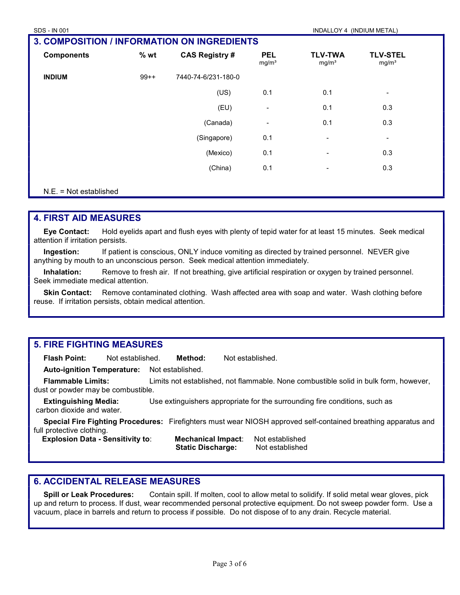| SDS - IN 001                                       |        |                       |                                 | INDALLOY 4 (INDIUM METAL)           |                                      |  |
|----------------------------------------------------|--------|-----------------------|---------------------------------|-------------------------------------|--------------------------------------|--|
| <b>3. COMPOSITION / INFORMATION ON INGREDIENTS</b> |        |                       |                                 |                                     |                                      |  |
| <b>Components</b>                                  | % wt   | <b>CAS Registry #</b> | <b>PEL</b><br>mg/m <sup>3</sup> | <b>TLV-TWA</b><br>mg/m <sup>3</sup> | <b>TLV-STEL</b><br>mg/m <sup>3</sup> |  |
| <b>INDIUM</b>                                      | $99++$ | 7440-74-6/231-180-0   |                                 |                                     |                                      |  |
|                                                    |        | (US)                  | 0.1                             | 0.1                                 | $\blacksquare$                       |  |
|                                                    |        | (EU)                  | $\overline{\phantom{a}}$        | 0.1                                 | 0.3                                  |  |
|                                                    |        | (Canada)              | $\overline{\phantom{a}}$        | 0.1                                 | 0.3                                  |  |
|                                                    |        | (Singapore)           | 0.1                             | $\blacksquare$                      | $\blacksquare$                       |  |
|                                                    |        | (Mexico)              | 0.1                             | $\blacksquare$                      | 0.3                                  |  |
|                                                    |        | (China)               | 0.1                             | $\overline{\phantom{a}}$            | 0.3                                  |  |

#### N.E. = Not established

## 4. FIRST AID MEASURES

Eye Contact: Hold eyelids apart and flush eyes with plenty of tepid water for at least 15 minutes. Seek medical attention if irritation persists.

Ingestion: If patient is conscious, ONLY induce vomiting as directed by trained personnel. NEVER give anything by mouth to an unconscious person. Seek medical attention immediately.

Inhalation: Remove to fresh air. If not breathing, give artificial respiration or oxygen by trained personnel. Seek immediate medical attention.

Skin Contact: Remove contaminated clothing. Wash affected area with soap and water. Wash clothing before reuse. If irritation persists, obtain medical attention.

## 5. FIRE FIGHTING MEASURES

Flash Point: Not established. Method: Not established.

Auto-ignition Temperature: Not established.

Flammable Limits: Limits not established, not flammable. None combustible solid in bulk form, however, dust or powder may be combustible.

**Extinguishing Media:** Use extinguishers appropriate for the surrounding fire conditions, such as carbon dioxide and water.

Special Fire Fighting Procedures: Firefighters must wear NIOSH approved self-contained breathing apparatus and full protective clothing.

 Explosion Data - Sensitivity to: Mechanical Impact: Not established Static Discharge: Not established

# 6. ACCIDENTAL RELEASE MEASURES

Spill or Leak Procedures: Contain spill. If molten, cool to allow metal to solidify. If solid metal wear gloves, pick up and return to process. If dust, wear recommended personal protective equipment. Do not sweep powder form. Use a vacuum, place in barrels and return to process if possible. Do not dispose of to any drain. Recycle material.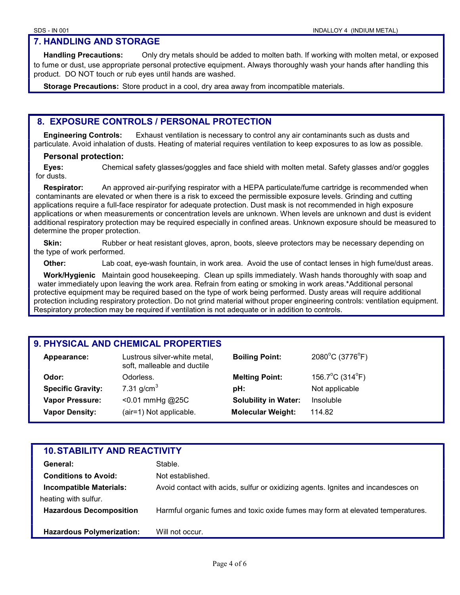# 7. HANDLING AND STORAGE

Handling Precautions: Only dry metals should be added to molten bath. If working with molten metal, or exposed to fume or dust, use appropriate personal protective equipment. Always thoroughly wash your hands after handling this product. DO NOT touch or rub eyes until hands are washed.

Storage Precautions: Store product in a cool, dry area away from incompatible materials.

# 8. EXPOSURE CONTROLS / PERSONAL PROTECTION

Engineering Controls: Exhaust ventilation is necessary to control any air contaminants such as dusts and particulate. Avoid inhalation of dusts. Heating of material requires ventilation to keep exposures to as low as possible.

#### Personal protection:

Eyes: Chemical safety glasses/goggles and face shield with molten metal. Safety glasses and/or goggles for dusts.

Respirator: An approved air-purifying respirator with a HEPA particulate/fume cartridge is recommended when contaminants are elevated or when there is a risk to exceed the permissible exposure levels. Grinding and cutting applications require a full-face respirator for adequate protection. Dust mask is not recommended in high exposure applications or when measurements or concentration levels are unknown. When levels are unknown and dust is evident additional respiratory protection may be required especially in confined areas. Unknown exposure should be measured to determine the proper protection.

Skin: Rubber or heat resistant gloves, apron, boots, sleeve protectors may be necessary depending on the type of work performed.

Other: Lab coat, eye-wash fountain, in work area. Avoid the use of contact lenses in high fume/dust areas.

Work/Hygienic Maintain good housekeeping. Clean up spills immediately. Wash hands thoroughly with soap and water immediately upon leaving the work area. Refrain from eating or smoking in work areas.\*Additional personal protective equipment may be required based on the type of work being performed. Dusty areas will require additional protection including respiratory protection. Do not grind material without proper engineering controls: ventilation equipment. Respiratory protection may be required if ventilation is not adequate or in addition to controls.

# 9. PHYSICAL AND CHEMICAL PROPERTIES

| Appearance:              | Lustrous silver-white metal,<br>soft, malleable and ductile | <b>Boiling Point:</b>       | 2080°C (3776°F) |
|--------------------------|-------------------------------------------------------------|-----------------------------|-----------------|
| Odor:                    | Odorless.                                                   | <b>Melting Point:</b>       | 156.7°C (314°F) |
| <b>Specific Gravity:</b> | 7.31 $q/cm3$                                                | pH:                         | Not applicable  |
| <b>Vapor Pressure:</b>   | $< 0.01$ mmHg @25C                                          | <b>Solubility in Water:</b> | Insoluble       |
| <b>Vapor Density:</b>    | (air=1) Not applicable.                                     | <b>Molecular Weight:</b>    | 114.82          |
|                          |                                                             |                             |                 |

| <b>10. STABILITY AND REACTIVITY</b> |                                                                                  |  |  |  |
|-------------------------------------|----------------------------------------------------------------------------------|--|--|--|
| General:                            | Stable.                                                                          |  |  |  |
| <b>Conditions to Avoid:</b>         | Not established.                                                                 |  |  |  |
| <b>Incompatible Materials:</b>      | Avoid contact with acids, sulfur or oxidizing agents. Ignites and incandesces on |  |  |  |
| heating with sulfur.                |                                                                                  |  |  |  |
| <b>Hazardous Decomposition</b>      | Harmful organic fumes and toxic oxide fumes may form at elevated temperatures.   |  |  |  |
|                                     |                                                                                  |  |  |  |
| <b>Hazardous Polymerization:</b>    | Will not occur.                                                                  |  |  |  |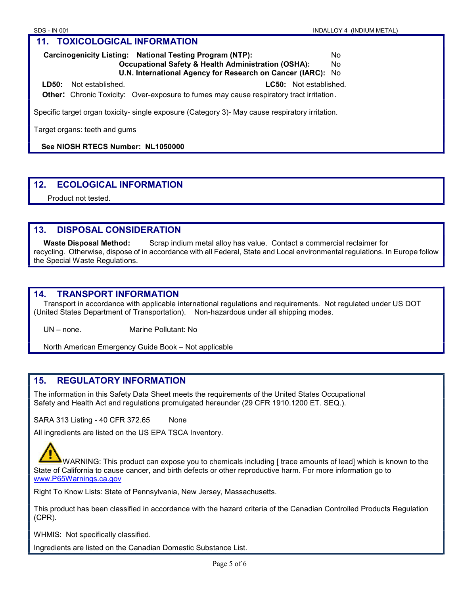### Carcinogenicity Listing: National Testing Program (NTP): No Occupational Safety & Health Administration (OSHA): No

U.N. International Agency for Research on Cancer (IARC): No

 LD50: Not established. LC50: Not established. **Other:** Chronic Toxicity: Over-exposure to fumes may cause respiratory tract irritation.

Specific target organ toxicity- single exposure (Category 3)- May cause respiratory irritation.

Target organs: teeth and gums

See NIOSH RTECS Number: NL1050000

# 12. ECOLOGICAL INFORMATION

Product not tested.

## 13. DISPOSAL CONSIDERATION

Waste Disposal Method: Scrap indium metal alloy has value. Contact a commercial reclaimer for recycling. Otherwise, dispose of in accordance with all Federal, State and Local environmental regulations. In Europe follow the Special Waste Regulations.

# 14. TRANSPORT INFORMATION

Transport in accordance with applicable international regulations and requirements. Not regulated under US DOT (United States Department of Transportation). Non-hazardous under all shipping modes.

UN – none. Marine Pollutant: No

North American Emergency Guide Book – Not applicable

# 15. REGULATORY INFORMATION

The information in this Safety Data Sheet meets the requirements of the United States Occupational Safety and Health Act and regulations promulgated hereunder (29 CFR 1910.1200 ET. SEQ.).

SARA 313 Listing - 40 CFR 372.65 None

All ingredients are listed on the US EPA TSCA Inventory.

 WARNING: This product can expose you to chemicals including [ trace amounts of lead] which is known to the State of California to cause cancer, and birth defects or other reproductive harm. For more information go to www.P65Warnings.ca.gov

Right To Know Lists: State of Pennsylvania, New Jersey, Massachusetts.

This product has been classified in accordance with the hazard criteria of the Canadian Controlled Products Regulation (CPR).

WHMIS: Not specifically classified.

Ingredients are listed on the Canadian Domestic Substance List.